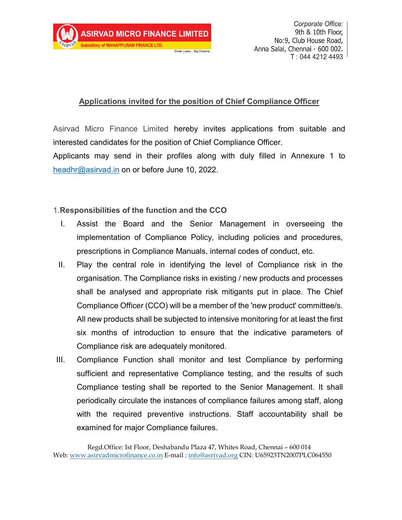## **Applications invited for the position of Chief Compliance Officer**

Small Loans... Big Dreams.

Asirvad Micro Finance Limited hereby invites applications from suitable and interested candidates for the position of Chief Compliance Officer.

Applicants may send in their profiles along with duly filled in Annexure 1 to [headhr@asirvad.in](mailto:headhr@asirvad.in) on or before June 10, 2022.

## 1.**Responsibilities of the function and the CCO**

- I. Assist the Board and the Senior Management in overseeing the implementation of Compliance Policy, including policies and procedures, prescriptions in Compliance Manuals, internal codes of conduct, etc.
- II. Play the central role in identifying the level of Compliance risk in the organisation. The Compliance risks in existing / new products and processes shall be analysed and appropriate risk mitigants put in place. The Chief Compliance Officer (CCO) will be a member of the 'new product' committee/s. All new products shall be subjected to intensive monitoring for at least the first six months of introduction to ensure that the indicative parameters of Compliance risk are adequately monitored.
- III. Compliance Function shall monitor and test Compliance by performing sufficient and representative Compliance testing, and the results of such Compliance testing shall be reported to the Senior Management. It shall periodically circulate the instances of compliance failures among staff, along with the required preventive instructions. Staff accountability shall be examined for major Compliance failures.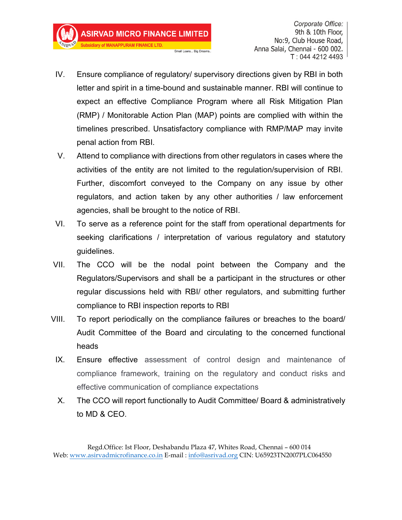**ASIRVAD MICRO FINANCE LIMITED** 

**Subsidiary of MANAPPURAM FINANCE LTD.** 

Corporate Office: 9th & 10th Floor, No:9, Club House Road, Anna Salai, Chennai - 600 002. T: 044 4212 4493

IV. Ensure compliance of regulatory/ supervisory directions given by RBI in both letter and spirit in a time-bound and sustainable manner. RBI will continue to expect an effective Compliance Program where all Risk Mitigation Plan (RMP) / Monitorable Action Plan (MAP) points are complied with within the timelines prescribed. Unsatisfactory compliance with RMP/MAP may invite penal action from RBI.

Small Loans... Big Dreams.

- V. Attend to compliance with directions from other regulators in cases where the activities of the entity are not limited to the regulation/supervision of RBI. Further, discomfort conveyed to the Company on any issue by other regulators, and action taken by any other authorities / law enforcement agencies, shall be brought to the notice of RBI.
- VI. To serve as a reference point for the staff from operational departments for seeking clarifications / interpretation of various regulatory and statutory guidelines.
- VII. The CCO will be the nodal point between the Company and the Regulators/Supervisors and shall be a participant in the structures or other regular discussions held with RBI/ other regulators, and submitting further compliance to RBI inspection reports to RBI
- VIII. To report periodically on the compliance failures or breaches to the board/ Audit Committee of the Board and circulating to the concerned functional heads
- IX. Ensure effective assessment of control design and maintenance of compliance framework, training on the regulatory and conduct risks and effective communication of compliance expectations
- X. The CCO will report functionally to Audit Committee/ Board & administratively to MD & CEO.